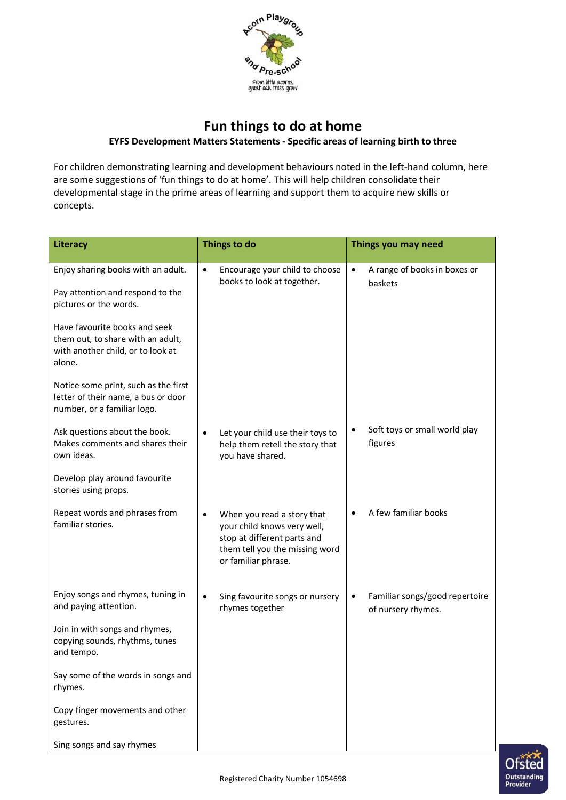

## **Fun things to do at home**

## **EYFS Development Matters Statements - Specific areas of learning birth to three**

For children demonstrating learning and development behaviours noted in the left-hand column, here are some suggestions of 'fun things to do at home'. This will help children consolidate their developmental stage in the prime areas of learning and support them to acquire new skills or concepts.

| Literacy                                                                                                          | Things to do                                                                                                                                      | Things you may need                                               |
|-------------------------------------------------------------------------------------------------------------------|---------------------------------------------------------------------------------------------------------------------------------------------------|-------------------------------------------------------------------|
| Enjoy sharing books with an adult.<br>Pay attention and respond to the<br>pictures or the words.                  | Encourage your child to choose<br>$\bullet$<br>books to look at together.                                                                         | A range of books in boxes or<br>$\bullet$<br>baskets              |
| Have favourite books and seek<br>them out, to share with an adult,<br>with another child, or to look at<br>alone. |                                                                                                                                                   |                                                                   |
| Notice some print, such as the first<br>letter of their name, a bus or door<br>number, or a familiar logo.        |                                                                                                                                                   |                                                                   |
| Ask questions about the book.<br>Makes comments and shares their<br>own ideas.                                    | Let your child use their toys to<br>help them retell the story that<br>you have shared.                                                           | Soft toys or small world play<br>figures                          |
| Develop play around favourite<br>stories using props.                                                             |                                                                                                                                                   |                                                                   |
| Repeat words and phrases from<br>familiar stories.                                                                | When you read a story that<br>your child knows very well,<br>stop at different parts and<br>them tell you the missing word<br>or familiar phrase. | A few familiar books                                              |
| Enjoy songs and rhymes, tuning in<br>and paying attention.                                                        | Sing favourite songs or nursery<br>rhymes together                                                                                                | Familiar songs/good repertoire<br>$\bullet$<br>of nursery rhymes. |
| Join in with songs and rhymes,<br>copying sounds, rhythms, tunes<br>and tempo.                                    |                                                                                                                                                   |                                                                   |
| Say some of the words in songs and<br>rhymes.                                                                     |                                                                                                                                                   |                                                                   |
| Copy finger movements and other<br>gestures.                                                                      |                                                                                                                                                   |                                                                   |
| Sing songs and say rhymes                                                                                         |                                                                                                                                                   |                                                                   |

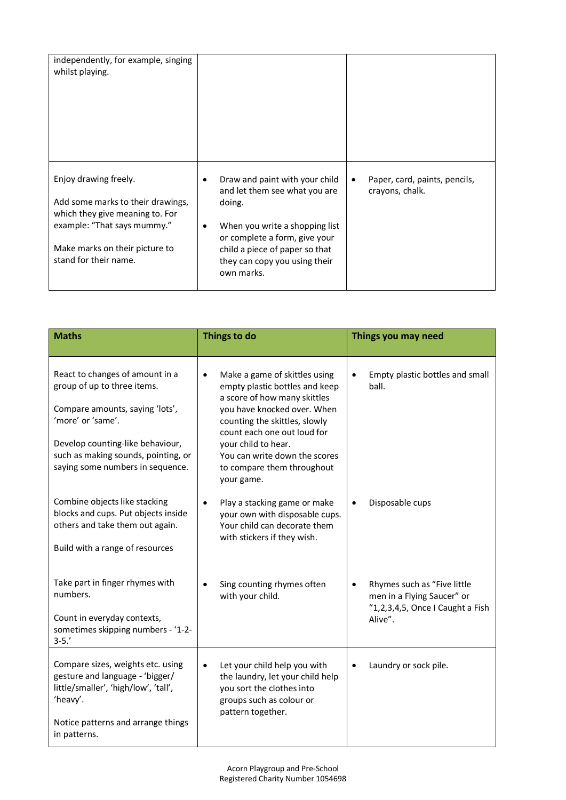| independently, for example, singing<br>whilst playing.                                                                                                                                  |                                                                                                                                                                                                                                    |                                                  |
|-----------------------------------------------------------------------------------------------------------------------------------------------------------------------------------------|------------------------------------------------------------------------------------------------------------------------------------------------------------------------------------------------------------------------------------|--------------------------------------------------|
| Enjoy drawing freely.<br>Add some marks to their drawings,<br>which they give meaning to. For<br>example: "That says mummy."<br>Make marks on their picture to<br>stand for their name. | Draw and paint with your child<br>and let them see what you are<br>doing.<br>When you write a shopping list<br>٠<br>or complete a form, give your<br>child a piece of paper so that<br>they can copy you using their<br>own marks. | Paper, card, paints, pencils,<br>crayons, chalk. |

| <b>Maths</b>                                                                                                                                                                                                                          | Things to do                                                                                                                                                                                                                                                                                                    | Things you may need                                                                                           |  |
|---------------------------------------------------------------------------------------------------------------------------------------------------------------------------------------------------------------------------------------|-----------------------------------------------------------------------------------------------------------------------------------------------------------------------------------------------------------------------------------------------------------------------------------------------------------------|---------------------------------------------------------------------------------------------------------------|--|
| React to changes of amount in a<br>group of up to three items.<br>Compare amounts, saying 'lots',<br>'more' or 'same'.<br>Develop counting-like behaviour,<br>such as making sounds, pointing, or<br>saying some numbers in sequence. | Make a game of skittles using<br>$\bullet$<br>empty plastic bottles and keep<br>a score of how many skittles<br>you have knocked over. When<br>counting the skittles, slowly<br>count each one out loud for<br>your child to hear.<br>You can write down the scores<br>to compare them throughout<br>your game. | Empty plastic bottles and small<br>ball.                                                                      |  |
| Combine objects like stacking<br>blocks and cups. Put objects inside<br>others and take them out again.<br>Build with a range of resources                                                                                            | Play a stacking game or make<br>$\bullet$<br>your own with disposable cups.<br>Your child can decorate them<br>with stickers if they wish.                                                                                                                                                                      | Disposable cups<br>$\bullet$                                                                                  |  |
| Take part in finger rhymes with<br>numbers.<br>Count in everyday contexts,<br>sometimes skipping numbers - '1-2-<br>$3 - 5.'$                                                                                                         | Sing counting rhymes often<br>with your child.                                                                                                                                                                                                                                                                  | Rhymes such as "Five little<br>٠<br>men in a Flying Saucer" or<br>"1,2,3,4,5, Once I Caught a Fish<br>Alive". |  |
| Compare sizes, weights etc. using<br>gesture and language - 'bigger/<br>little/smaller', 'high/low', 'tall',<br>'heavy'.<br>Notice patterns and arrange things<br>in patterns.                                                        | Let your child help you with<br>$\bullet$<br>the laundry, let your child help<br>you sort the clothes into<br>groups such as colour or<br>pattern together.                                                                                                                                                     | Laundry or sock pile.<br>$\bullet$                                                                            |  |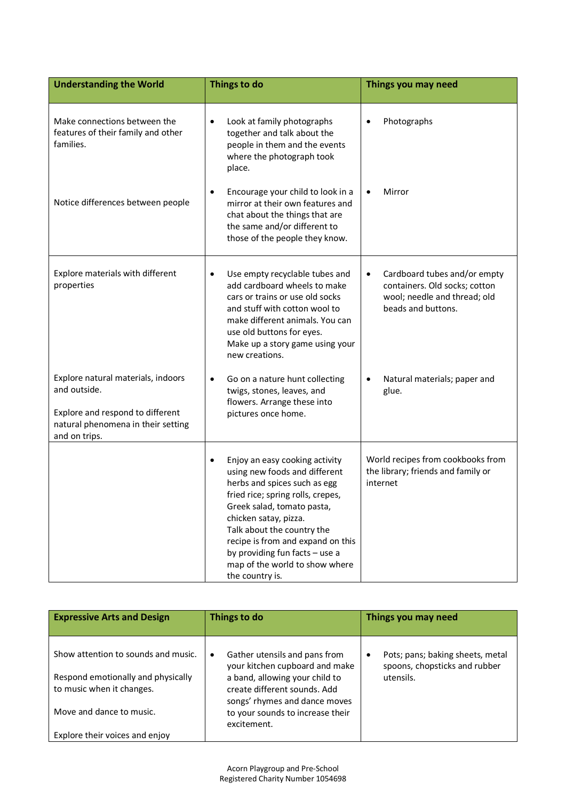| <b>Understanding the World</b>                                                                                       | Things to do                                                                                                                                                                                                                                                                                                                                                       | Things you may need                                                                                                                                              |  |
|----------------------------------------------------------------------------------------------------------------------|--------------------------------------------------------------------------------------------------------------------------------------------------------------------------------------------------------------------------------------------------------------------------------------------------------------------------------------------------------------------|------------------------------------------------------------------------------------------------------------------------------------------------------------------|--|
| Make connections between the<br>features of their family and other<br>families.<br>Notice differences between people | Look at family photographs<br>٠<br>together and talk about the<br>people in them and the events<br>where the photograph took<br>place.<br>Encourage your child to look in a<br>٠<br>mirror at their own features and<br>chat about the things that are<br>the same and/or different to<br>those of the people they know.                                           | Photographs<br>Mirror                                                                                                                                            |  |
| Explore materials with different<br>properties<br>Explore natural materials, indoors                                 | Use empty recyclable tubes and<br>$\bullet$<br>add cardboard wheels to make<br>cars or trains or use old socks<br>and stuff with cotton wool to<br>make different animals. You can<br>use old buttons for eyes.<br>Make up a story game using your<br>new creations.<br>Go on a nature hunt collecting<br>$\bullet$                                                | Cardboard tubes and/or empty<br>$\bullet$<br>containers. Old socks; cotton<br>wool; needle and thread; old<br>beads and buttons.<br>Natural materials; paper and |  |
| and outside.<br>Explore and respond to different<br>natural phenomena in their setting<br>and on trips.              | twigs, stones, leaves, and<br>flowers. Arrange these into<br>pictures once home.                                                                                                                                                                                                                                                                                   | glue.                                                                                                                                                            |  |
|                                                                                                                      | Enjoy an easy cooking activity<br>$\bullet$<br>using new foods and different<br>herbs and spices such as egg<br>fried rice; spring rolls, crepes,<br>Greek salad, tomato pasta,<br>chicken satay, pizza.<br>Talk about the country the<br>recipe is from and expand on this<br>by providing fun facts - use a<br>map of the world to show where<br>the country is. | World recipes from cookbooks from<br>the library; friends and family or<br>internet                                                                              |  |

| <b>Expressive Arts and Design</b>                               | Things to do                                                                     | Things you may need                                                    |  |  |
|-----------------------------------------------------------------|----------------------------------------------------------------------------------|------------------------------------------------------------------------|--|--|
| Show attention to sounds and music.                             | Gather utensils and pans from<br>٠<br>your kitchen cupboard and make             | Pots; pans; baking sheets, metal<br>٠<br>spoons, chopsticks and rubber |  |  |
| Respond emotionally and physically<br>to music when it changes. | a band, allowing your child to<br>create different sounds. Add                   | utensils.                                                              |  |  |
| Move and dance to music.                                        | songs' rhymes and dance moves<br>to your sounds to increase their<br>excitement. |                                                                        |  |  |
| Explore their voices and enjoy                                  |                                                                                  |                                                                        |  |  |